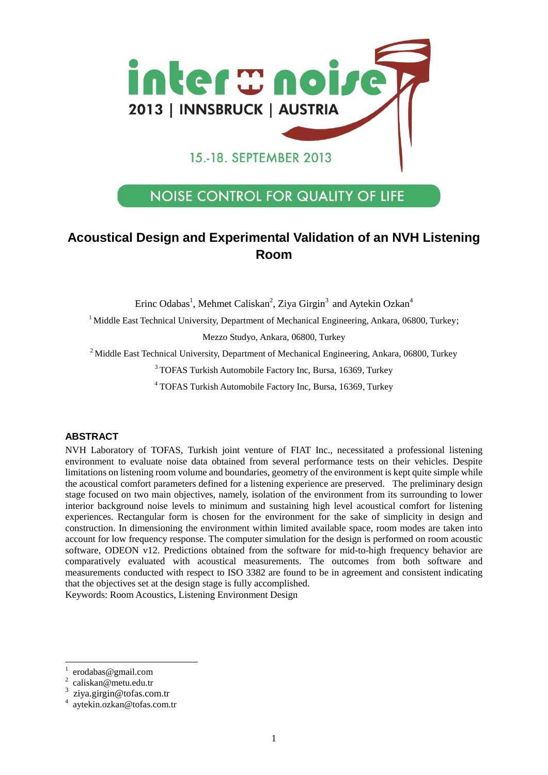

# **NOISE CONTROL FOR QUALITY OF LIFE**

# **Acoustical Design and Experimental Validation of an NVH Listening Room**

Erinc Odabas<sup>1</sup>, Mehmet Caliskan<sup>2</sup>, Ziya Girgin<sup>3</sup> and Aytekin Ozkan<sup>4</sup>

<sup>1</sup> Middle East Technical University, Department of Mechanical Engineering, Ankara, 06800, Turkey;

Mezzo Studyo, Ankara, 06800, Turkey

 $2$  Middle East Technical University, Department of Mechanical Engineering, Ankara, 06800, Turkey

<sup>3</sup> TOFAS Turkish Automobile Factory Inc, Bursa, 16369, Turkey

<sup>4</sup> TOFAS Turkish Automobile Factory Inc, Bursa, 16369, Turkey

#### **ABSTRACT**

NVH Laboratory of TOFAS, Turkish joint venture of FIAT Inc., necessitated a professional listening environment to evaluate noise data obtained from several performance tests on their vehicles. Despite limitations on listening room volume and boundaries, geometry of the environment is kept quite simple while the acoustical comfort parameters defined for a listening experience are preserved. The preliminary design stage focused on two main objectives, namely, isolation of the environment from its surrounding to lower interior background noise levels to minimum and sustaining high level acoustical comfort for listening experiences. Rectangular form is chosen for the environment for the sake of simplicity in design and construction. In dimensioning the environment within limited available space, room modes are taken into account for low frequency response. The computer simulation for the design is performed on room acoustic software, ODEON v12. Predictions obtained from the software for mid-to-high frequency behavior are comparatively evaluated with acoustical measurements. The outcomes from both software and measurements conducted with respect to ISO 3382 are found to be in agreement and consistent indicating that the objectives set at the design stage is fully accomplished.

Keywords: Room Acoustics, Listening Environment Design

 $\overline{a}$ 

<sup>1</sup> erodabas@gmail.com

<sup>2</sup> caliskan@metu.edu.tr

<sup>3</sup> ziya.girgin@tofas.com.tr

<sup>4</sup> aytekin.ozkan@tofas.com.tr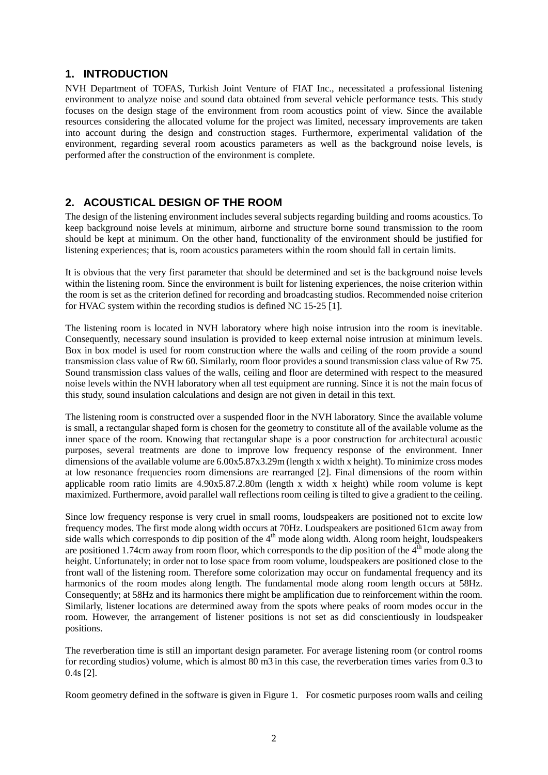### **1. INTRODUCTION**

NVH Department of TOFAS, Turkish Joint Venture of FIAT Inc., necessitated a professional listening environment to analyze noise and sound data obtained from several vehicle performance tests. This study focuses on the design stage of the environment from room acoustics point of view. Since the available resources considering the allocated volume for the project was limited, necessary improvements are taken into account during the design and construction stages. Furthermore, experimental validation of the environment, regarding several room acoustics parameters as well as the background noise levels, is performed after the construction of the environment is complete.

## **2. ACOUSTICAL DESIGN OF THE ROOM**

The design of the listening environment includes several subjects regarding building and rooms acoustics. To keep background noise levels at minimum, airborne and structure borne sound transmission to the room should be kept at minimum. On the other hand, functionality of the environment should be justified for listening experiences; that is, room acoustics parameters within the room should fall in certain limits.

It is obvious that the very first parameter that should be determined and set is the background noise levels within the listening room. Since the environment is built for listening experiences, the noise criterion within the room is set as the criterion defined for recording and broadcasting studios. Recommended noise criterion for HVAC system within the recording studios is defined NC 15-25 [1].

The listening room is located in NVH laboratory where high noise intrusion into the room is inevitable. Consequently, necessary sound insulation is provided to keep external noise intrusion at minimum levels. Box in box model is used for room construction where the walls and ceiling of the room provide a sound transmission class value of Rw 60. Similarly, room floor provides a sound transmission class value of Rw 75. Sound transmission class values of the walls, ceiling and floor are determined with respect to the measured noise levels within the NVH laboratory when all test equipment are running. Since it is not the main focus of this study, sound insulation calculations and design are not given in detail in this text.

The listening room is constructed over a suspended floor in the NVH laboratory. Since the available volume is small, a rectangular shaped form is chosen for the geometry to constitute all of the available volume as the inner space of the room. Knowing that rectangular shape is a poor construction for architectural acoustic purposes, several treatments are done to improve low frequency response of the environment. Inner dimensions of the available volume are 6.00x5.87x3.29m (length x width x height). To minimize cross modes at low resonance frequencies room dimensions are rearranged [2]. Final dimensions of the room within applicable room ratio limits are 4.90x5.87.2.80m (length x width x height) while room volume is kept maximized. Furthermore, avoid parallel wall reflections room ceiling is tilted to give a gradient to the ceiling.

Since low frequency response is very cruel in small rooms, loudspeakers are positioned not to excite low frequency modes. The first mode along width occurs at 70Hz. Loudspeakers are positioned 61cm away from side walls which corresponds to dip position of the  $4<sup>th</sup>$  mode along width. Along room height, loudspeakers are positioned 1.74cm away from room floor, which corresponds to the dip position of the  $4<sup>th</sup>$  mode along the height. Unfortunately; in order not to lose space from room volume, loudspeakers are positioned close to the front wall of the listening room. Therefore some colorization may occur on fundamental frequency and its harmonics of the room modes along length. The fundamental mode along room length occurs at 58Hz. Consequently; at 58Hz and its harmonics there might be amplification due to reinforcement within the room. Similarly, listener locations are determined away from the spots where peaks of room modes occur in the room. However, the arrangement of listener positions is not set as did conscientiously in loudspeaker positions.

The reverberation time is still an important design parameter. For average listening room (or control rooms for recording studios) volume, which is almost 80 m3 in this case, the reverberation times varies from 0.3 to 0.4s [2].

Room geometry defined in the software is given in Figure 1. For cosmetic purposes room walls and ceiling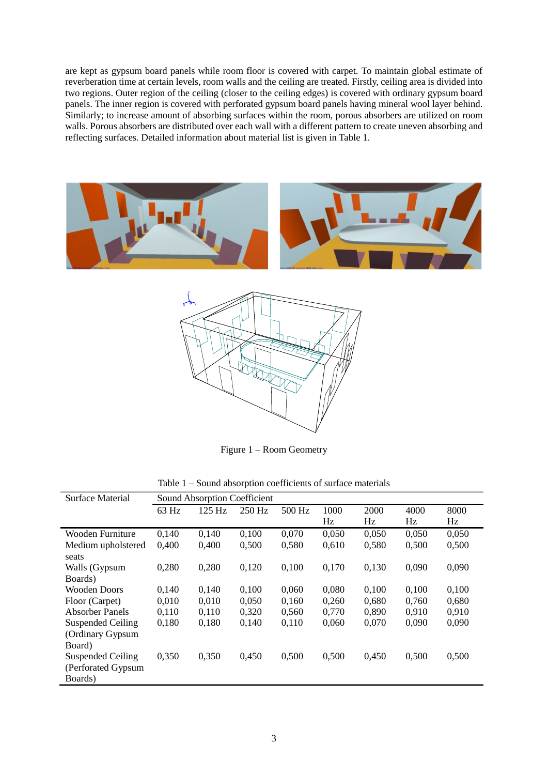are kept as gypsum board panels while room floor is covered with carpet. To maintain global estimate of reverberation time at certain levels, room walls and the ceiling are treated. Firstly, ceiling area is divided into two regions. Outer region of the ceiling (closer to the ceiling edges) is covered with ordinary gypsum board panels. The inner region is covered with perforated gypsum board panels having mineral wool layer behind. Similarly; to increase amount of absorbing surfaces within the room, porous absorbers are utilized on room walls. Porous absorbers are distributed over each wall with a different pattern to create uneven absorbing and reflecting surfaces. Detailed information about material list is given in Table 1.





Figure 1 – Room Geometry

Table 1 – Sound absorption coefficients of surface materials

| Surface Material         | <b>Sound Absorption Coefficient</b> |        |          |        |       |       |       |       |
|--------------------------|-------------------------------------|--------|----------|--------|-------|-------|-------|-------|
|                          | 63 Hz                               | 125 Hz | $250$ Hz | 500 Hz | 1000  | 2000  | 4000  | 8000  |
|                          |                                     |        |          |        | Hz    | Hz    | Hz    | Hz    |
| Wooden Furniture         | 0,140                               | 0,140  | 0,100    | 0,070  | 0,050 | 0,050 | 0,050 | 0,050 |
| Medium upholstered       | 0,400                               | 0,400  | 0,500    | 0,580  | 0,610 | 0,580 | 0,500 | 0,500 |
| seats                    |                                     |        |          |        |       |       |       |       |
| Walls (Gypsum            | 0,280                               | 0,280  | 0,120    | 0,100  | 0,170 | 0,130 | 0,090 | 0,090 |
| Boards)                  |                                     |        |          |        |       |       |       |       |
| <b>Wooden Doors</b>      | 0,140                               | 0,140  | 0,100    | 0,060  | 0,080 | 0,100 | 0,100 | 0,100 |
| Floor (Carpet)           | 0,010                               | 0,010  | 0,050    | 0,160  | 0,260 | 0,680 | 0,760 | 0,680 |
| Absorber Panels          | 0,110                               | 0,110  | 0,320    | 0,560  | 0,770 | 0,890 | 0.910 | 0,910 |
| <b>Suspended Ceiling</b> | 0,180                               | 0,180  | 0,140    | 0,110  | 0,060 | 0,070 | 0,090 | 0,090 |
| (Ordinary Gypsum         |                                     |        |          |        |       |       |       |       |
| Board)                   |                                     |        |          |        |       |       |       |       |
| <b>Suspended Ceiling</b> | 0,350                               | 0,350  | 0,450    | 0,500  | 0,500 | 0,450 | 0,500 | 0,500 |
| (Perforated Gypsum       |                                     |        |          |        |       |       |       |       |
| Boards)                  |                                     |        |          |        |       |       |       |       |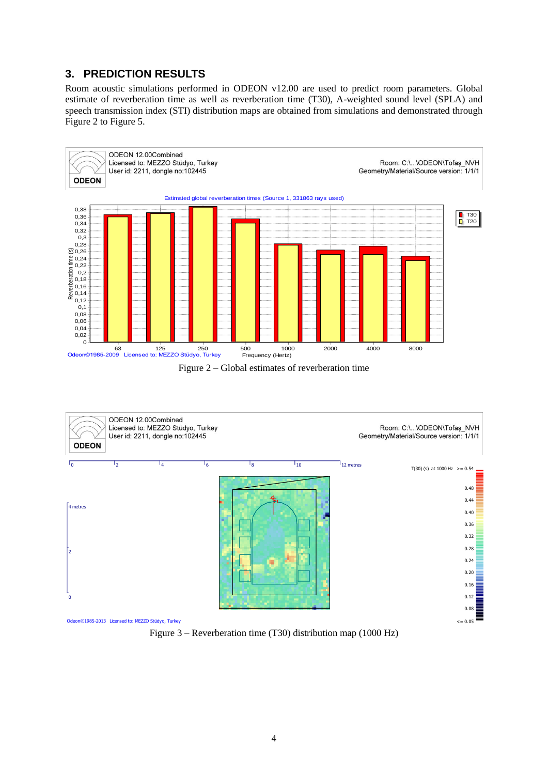# **3. PREDICTION RESULTS**

Room acoustic simulations performed in ODEON v12.00 are used to predict room parameters. Global estimate of reverberation time as well as reverberation time (T30), A-weighted sound level (SPLA) and speech transmission index (STI) distribution maps are obtained from simulations and demonstrated through Figure 2 to Figure 5.



Figure 2 – Global estimates of reverberation time



Figure 3 – Reverberation time (T30) distribution map (1000 Hz)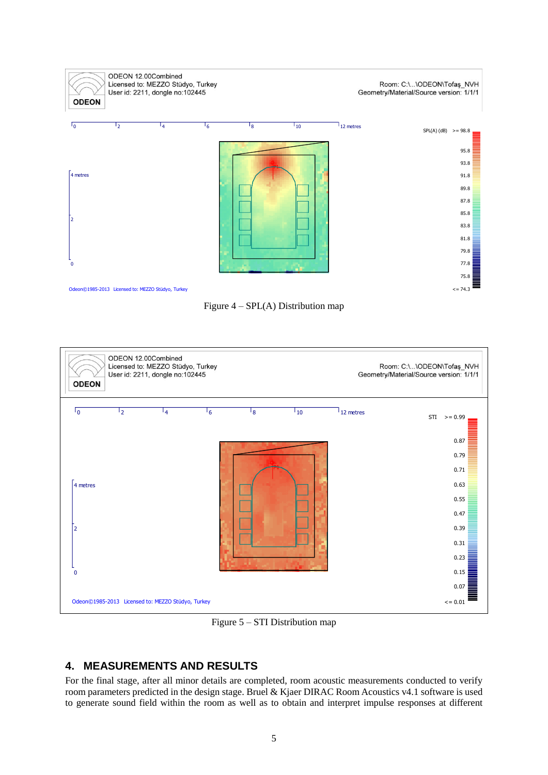





Figure 5 – STI Distribution map

# **4. MEASUREMENTS AND RESULTS**

For the final stage, after all minor details are completed, room acoustic measurements conducted to verify room parameters predicted in the design stage. Bruel & Kjaer DIRAC Room Acoustics v4.1 software is used to generate sound field within the room as well as to obtain and interpret impulse responses at different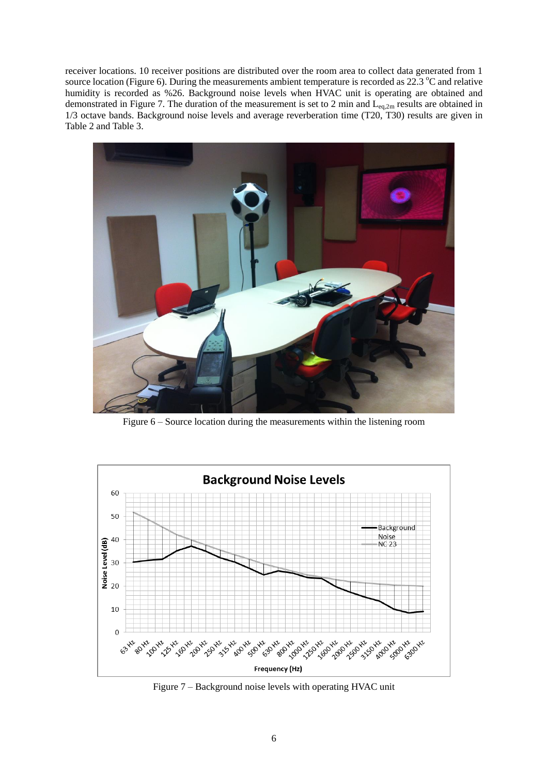receiver locations. 10 receiver positions are distributed over the room area to collect data generated from 1 source location (Figure 6). During the measurements ambient temperature is recorded as  $22.3 \text{ }^{\circ}$ C and relative humidity is recorded as %26. Background noise levels when HVAC unit is operating are obtained and demonstrated in Figure 7. The duration of the measurement is set to 2 min and  $L_{eq,2m}$  results are obtained in 1/3 octave bands. Background noise levels and average reverberation time (T20, T30) results are given in Table 2 and Table 3.



Figure 6 – Source location during the measurements within the listening room



Figure 7 – Background noise levels with operating HVAC unit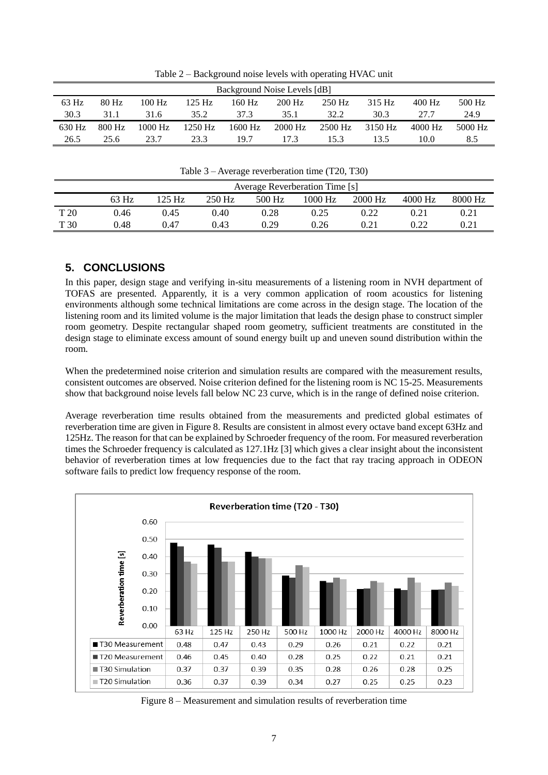| Background Noise Levels [dB] |        |          |           |           |          |          |         |           |         |  |
|------------------------------|--------|----------|-----------|-----------|----------|----------|---------|-----------|---------|--|
| $63$ Hz                      | 80 Hz  | $100$ Hz | $125$ Hz  | 160 Hz    | $200$ Hz | $250$ Hz | 315 Hz  | $400$ Hz  | 500 Hz  |  |
| 30.3                         | 31.1   | 31.6     | 35.2      | 37.3      | 35.1     | 32.2     | 30.3    | 27.7      | 24.9    |  |
| $630$ Hz                     | 800 Hz | 1000 Hz  | $1250$ Hz | $1600$ Hz | 2000 Hz  | 2500 Hz  | 3150 Hz | $4000$ Hz | 5000 Hz |  |
| 26.5                         | 25.6   | 23.7     | 23.3      | 19.7      | 173      | 15.3     | 13.5    | 10.0      | 8.5     |  |

Table 2 – Background noise levels with operating HVAC unit

Table 3 – Average reverberation time (T20, T30)

|      | <b>Average Reverberation Time [s]</b> |                  |        |        |         |         |         |         |  |  |
|------|---------------------------------------|------------------|--------|--------|---------|---------|---------|---------|--|--|
|      | 63 Hz                                 | $25 \mathrm{Hz}$ | 250 Hz | 500 Hz | 1000 Hz | 2000 Hz | 4000 Hz | 8000 Hz |  |  |
| T 20 | 0.46                                  | 0.45             | 0.40   | 0.28   | 0.25    | 0.22    | 0.21    | 0.21    |  |  |
| T 30 | 0.48                                  | 0.47             | 0.43   | 0.29   | 0.26    |         | 0.22    | 0.21    |  |  |

## **5. CONCLUSIONS**

In this paper, design stage and verifying in-situ measurements of a listening room in NVH department of TOFAS are presented. Apparently, it is a very common application of room acoustics for listening environments although some technical limitations are come across in the design stage. The location of the listening room and its limited volume is the major limitation that leads the design phase to construct simpler room geometry. Despite rectangular shaped room geometry, sufficient treatments are constituted in the design stage to eliminate excess amount of sound energy built up and uneven sound distribution within the room.

When the predetermined noise criterion and simulation results are compared with the measurement results, consistent outcomes are observed. Noise criterion defined for the listening room is NC 15-25. Measurements show that background noise levels fall below NC 23 curve, which is in the range of defined noise criterion.

Average reverberation time results obtained from the measurements and predicted global estimates of reverberation time are given in Figure 8. Results are consistent in almost every octave band except 63Hz and 125Hz. The reason for that can be explained by Schroeder frequency of the room. For measured reverberation times the Schroeder frequency is calculated as 127.1Hz [3] which gives a clear insight about the inconsistent behavior of reverberation times at low frequencies due to the fact that ray tracing approach in ODEON software fails to predict low frequency response of the room.



Figure 8 – Measurement and simulation results of reverberation time